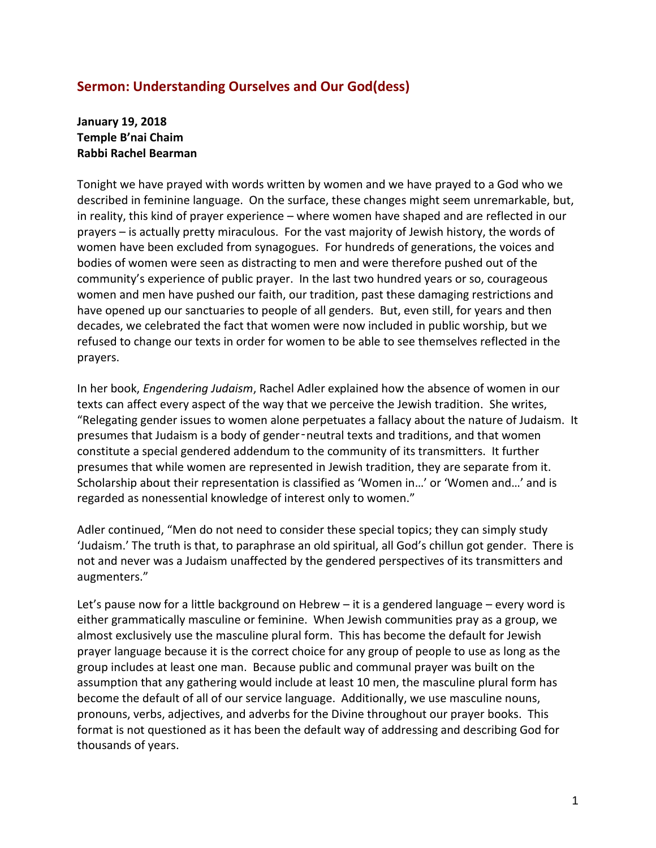## **Sermon: Understanding Ourselves and Our God(dess)**

**January 19, 2018 Temple B'nai Chaim Rabbi Rachel Bearman**

Tonight we have prayed with words written by women and we have prayed to a God who we described in feminine language. On the surface, these changes might seem unremarkable, but, in reality, this kind of prayer experience – where women have shaped and are reflected in our prayers – is actually pretty miraculous. For the vast majority of Jewish history, the words of women have been excluded from synagogues. For hundreds of generations, the voices and bodies of women were seen as distracting to men and were therefore pushed out of the community's experience of public prayer. In the last two hundred years or so, courageous women and men have pushed our faith, our tradition, past these damaging restrictions and have opened up our sanctuaries to people of all genders. But, even still, for years and then decades, we celebrated the fact that women were now included in public worship, but we refused to change our texts in order for women to be able to see themselves reflected in the prayers.

In her book, *Engendering Judaism*, Rachel Adler explained how the absence of women in our texts can affect every aspect of the way that we perceive the Jewish tradition. She writes, "Relegating gender issues to women alone perpetuates a fallacy about the nature of Judaism. It presumes that Judaism is a body of gender‑neutral texts and traditions, and that women constitute a special gendered addendum to the community of its transmitters. It further presumes that while women are represented in Jewish tradition, they are separate from it. Scholarship about their representation is classified as 'Women in…' or 'Women and…' and is regarded as nonessential knowledge of interest only to women."

Adler continued, "Men do not need to consider these special topics; they can simply study 'Judaism.' The truth is that, to paraphrase an old spiritual, all God's chillun got gender. There is not and never was a Judaism unaffected by the gendered perspectives of its transmitters and augmenters."

Let's pause now for a little background on Hebrew – it is a gendered language – every word is either grammatically masculine or feminine. When Jewish communities pray as a group, we almost exclusively use the masculine plural form. This has become the default for Jewish prayer language because it is the correct choice for any group of people to use as long as the group includes at least one man. Because public and communal prayer was built on the assumption that any gathering would include at least 10 men, the masculine plural form has become the default of all of our service language. Additionally, we use masculine nouns, pronouns, verbs, adjectives, and adverbs for the Divine throughout our prayer books. This format is not questioned as it has been the default way of addressing and describing God for thousands of years.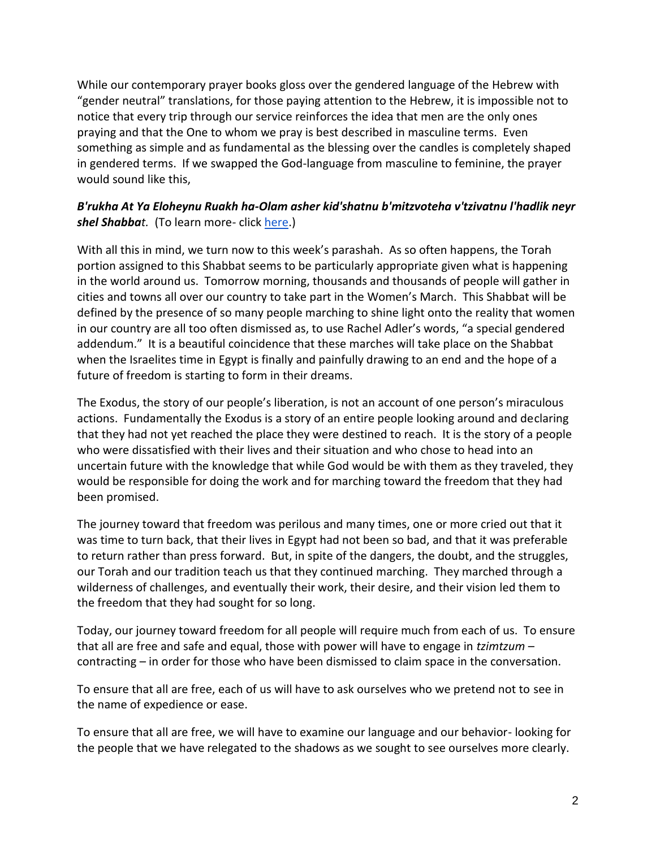While our contemporary prayer books gloss over the gendered language of the Hebrew with "gender neutral" translations, for those paying attention to the Hebrew, it is impossible not to notice that every trip through our service reinforces the idea that men are the only ones praying and that the One to whom we pray is best described in masculine terms. Even something as simple and as fundamental as the blessing over the candles is completely shaped in gendered terms. If we swapped the God-language from masculine to feminine, the prayer would sound like this,

## *B'rukha At Ya Eloheynu Ruakh ha-Olam asher kid'shatnu b'mitzvoteha v'tzivatnu l'hadlik neyr shel Shabbat.* (To learn more- click [here.](https://www.ritualwell.org/ritual/candle-lighting-blessings))

With all this in mind, we turn now to this week's parashah. As so often happens, the Torah portion assigned to this Shabbat seems to be particularly appropriate given what is happening in the world around us. Tomorrow morning, thousands and thousands of people will gather in cities and towns all over our country to take part in the Women's March. This Shabbat will be defined by the presence of so many people marching to shine light onto the reality that women in our country are all too often dismissed as, to use Rachel Adler's words, "a special gendered addendum." It is a beautiful coincidence that these marches will take place on the Shabbat when the Israelites time in Egypt is finally and painfully drawing to an end and the hope of a future of freedom is starting to form in their dreams.

The Exodus, the story of our people's liberation, is not an account of one person's miraculous actions. Fundamentally the Exodus is a story of an entire people looking around and declaring that they had not yet reached the place they were destined to reach. It is the story of a people who were dissatisfied with their lives and their situation and who chose to head into an uncertain future with the knowledge that while God would be with them as they traveled, they would be responsible for doing the work and for marching toward the freedom that they had been promised.

The journey toward that freedom was perilous and many times, one or more cried out that it was time to turn back, that their lives in Egypt had not been so bad, and that it was preferable to return rather than press forward. But, in spite of the dangers, the doubt, and the struggles, our Torah and our tradition teach us that they continued marching. They marched through a wilderness of challenges, and eventually their work, their desire, and their vision led them to the freedom that they had sought for so long.

Today, our journey toward freedom for all people will require much from each of us. To ensure that all are free and safe and equal, those with power will have to engage in *tzimtzum* – contracting – in order for those who have been dismissed to claim space in the conversation.

To ensure that all are free, each of us will have to ask ourselves who we pretend not to see in the name of expedience or ease.

To ensure that all are free, we will have to examine our language and our behavior- looking for the people that we have relegated to the shadows as we sought to see ourselves more clearly.